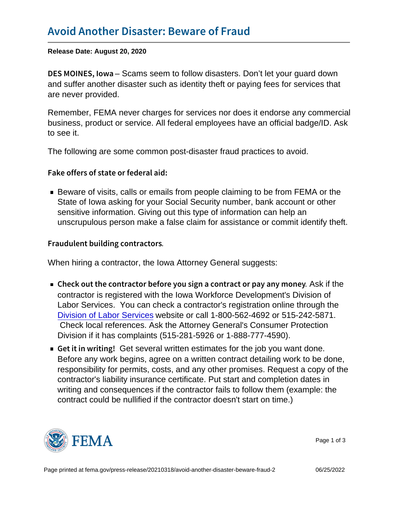Release Date: August 20, 2020

DES MOINE-SS calms we seem to follow disasters. Don't let your guard down and suffer another disaster such as identity theft or paying fees for services that are never provided.

Remember, FEMA never charges for services nor does it endorse any commercial business, product or service. All federal employees have an official badge/ID. Ask to see it.

The following are some common post-disaster fraud practices to avoid.

Fake offers of state or federal aid:

Beware of visits, calls or emails from people claiming to be from FEMA or the State of Iowa asking for your Social Security number, bank account or other sensitive information. Giving out this type of information can help an unscrupulous person make a false claim for assistance or commit identify theft.

Fraudulent building contractors .

When hiring a contractor, the Iowa Attorney General suggests:

- Check out the contractor before you sign .a A solution pay and the contractor pay and  $\alpha$ contractor is registered with the Iowa Workforce Development's Division of Labor Services. You can check a contractor's registration online through the [Division of Labor Services](http://www.iowaworkforce.org/labor/contractor.htm) website or call 1-800-562-4692 or 515-242-5871. Check local references. Ask the Attorney General's Consumer Protection Division if it has complaints (515-281-5926 or 1-888-777-4590).
- Get it in w Get several written estimates for the job you want done. Before any work begins, agree on a written contract detailing work to be done, responsibility for permits, costs, and any other promises. Request a copy of the contractor's liability insurance certificate. Put start and completion dates in writing and consequences if the contractor fails to follow them (example: the contract could be nullified if the contractor doesn't start on time.)



Page 1 of 3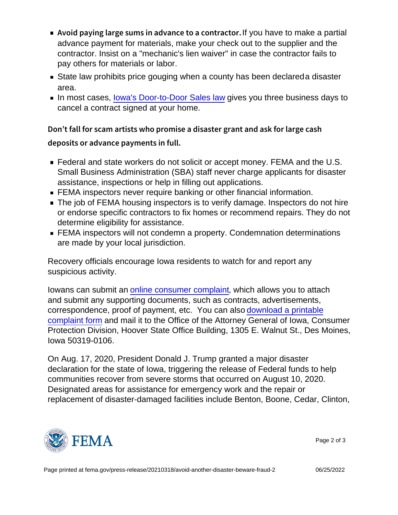- Avoid paying large sums in advl**áyoo b**avteotoamaxko **a pantia**ltor. advance payment for materials, make your check out to the supplier and the contractor. Insist on a "mechanic's lien waiver" in case the contractor fails to pay others for materials or labor.
- State law prohibits price gouging when a county has been declareda disaster area.
- In most cases, lowa's Door-to-Door Sales law gives you three business days to cancel a contract signed at your home.

```
Don t fall for scam artists who promise a disaster grant an
deposits or advance payments in full.
```
- Federal and state workers do not solicit or accept money. FEMA and the U.S. Small Business Administration (SBA) staff never charge applicants for disaster assistance, inspections or help in filling out applications.
- **FEMA** inspectors never require banking or other financial information.
- The job of FEMA housing inspectors is to verify damage. Inspectors do not hire or endorse specific contractors to fix homes or recommend repairs. They do not determine eligibility for assistance.
- **FEMA** inspectors will not condemn a property. Condemnation determinations are made by your local jurisdiction.

Recovery officials encourage Iowa residents to watch for and report any suspicious activity.

Iowans can submit an [online consumer complaint,](https://www.iowaattorneygeneral.gov/for-consumers/file-a-consumer-complaint/complaint-form/) which allows you to attach and submit any supporting documents, such as contracts, advertisements, correspondence, proof of payment, etc. You can also [download a printable](https://www.iowaattorneygeneral.gov/for-consumers/file-a-consumer-complaint/printable-consumer-complaint-form/) [complaint form](https://www.iowaattorneygeneral.gov/for-consumers/file-a-consumer-complaint/printable-consumer-complaint-form/) and mail it to the Office of the Attorney General of Iowa, Consumer Protection Division, Hoover State Office Building, 1305 E. Walnut St., Des Moines, Iowa 50319-0106.

On Aug. 17, 2020, President Donald J. Trump granted a major disaster declaration for the state of Iowa, triggering the release of Federal funds to help communities recover from severe storms that occurred on August 10, 2020. Designated areas for assistance for emergency work and the repair or replacement of disaster-damaged facilities include Benton, Boone, Cedar, Clinton,



Page 2 of 3